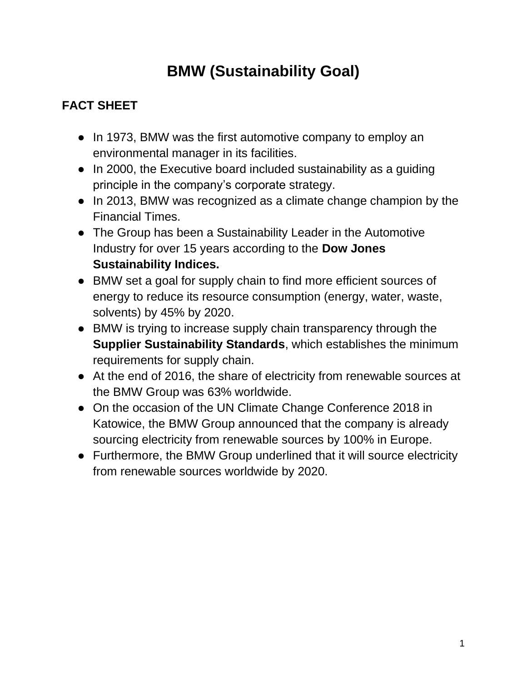## **BMW (Sustainability Goal)**

## **FACT SHEET**

- In 1973, BMW was the first automotive company to employ an environmental manager in its facilities.
- In 2000, the Executive board included sustainability as a guiding principle in the company's corporate strategy.
- In 2013, BMW was recognized as a climate change champion by the Financial Times.
- The Group has been a Sustainability Leader in the Automotive Industry for over 15 years according to the **Dow Jones Sustainability Indices.**
- BMW set a goal for supply chain to find more efficient sources of energy to reduce its resource consumption (energy, water, waste, solvents) by 45% by 2020.
- BMW is trying to increase supply chain transparency through the **Supplier Sustainability Standards**, which establishes the minimum requirements for supply chain.
- At the end of 2016, the share of electricity from renewable sources at the BMW Group was 63% worldwide.
- On the occasion of the UN Climate Change Conference 2018 in Katowice, the BMW Group announced that the company is already sourcing electricity from renewable sources by 100% in Europe.
- Furthermore, the BMW Group underlined that it will source electricity from renewable sources worldwide by 2020.